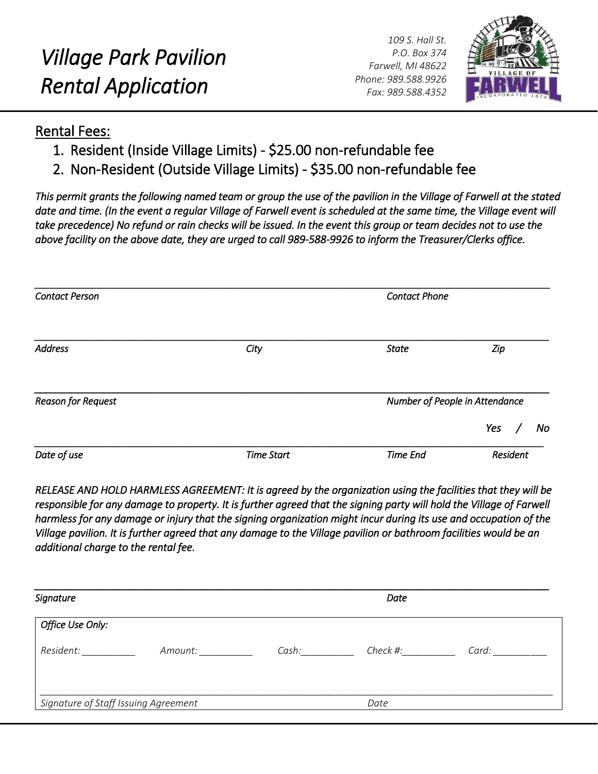*109 S. Hall St. P.O. Box 374 Farwell, MI 48622 Phone: 989.588.9926 Fax: 989.588.4352*



## Rental Fees:

- 1. Resident (Inside Village Limits) \$25.00 non-refundable fee
- 2. Non-Resident (Outside Village Limits) \$35.00 non-refundable fee

*This permit grants the following named team or group the use of the pavilion in the Village of Farwell at the stated*  date and time. (In the event a regular Village of Farwell event is scheduled at the same time, the Village event will *take precedence) No refund or rain checks will be issued. In the event this group or team decides not to use the above facility on the above date, they are urged to call 989-588-9926 to inform the Treasurer/Clerks office.* 

| <b>Contact Person</b>     |                   | <b>Contact Phone</b>           |           |  |
|---------------------------|-------------------|--------------------------------|-----------|--|
| <b>Address</b>            | City              | <b>State</b>                   | Zip       |  |
| <b>Reason for Request</b> |                   | Number of People in Attendance |           |  |
|                           |                   |                                | Yes<br>No |  |
| Date of use               | <b>Time Start</b> | Time End                       | Resident  |  |

*RELEASE AND HOLD HARMLESS AGREEMENT: It is agreed by the organization using the facilities that they will be*  responsible for any damage to property. It is further agreed that the signing party will hold the Village of Farwell *harmless for any damage or injury that the signing organization might incur during its use and occupation of the Village pavilion. It is further agreed that any damage to the Village pavilion or bathroom facilities would be an additional charge to the rental fee.* 

| Signature                            |         |       | Date     |       |
|--------------------------------------|---------|-------|----------|-------|
| Office Use Only:                     |         |       |          |       |
| Resident:                            | Amount: | Cash: | Check #: | Card: |
| Signature of Staff Issuing Agreement |         | Date  |          |       |